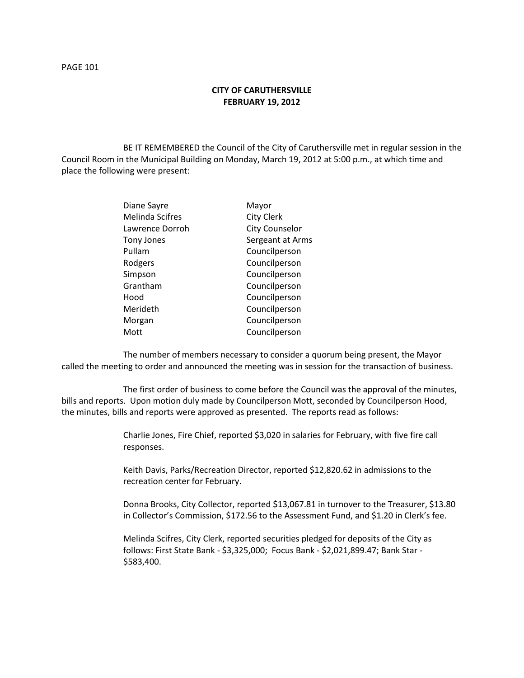## **CITY OF CARUTHERSVILLE FEBRUARY 19, 2012**

BE IT REMEMBERED the Council of the City of Caruthersville met in regular session in the Council Room in the Municipal Building on Monday, March 19, 2012 at 5:00 p.m., at which time and place the following were present:

| Diane Sayre            | Mayor                 |
|------------------------|-----------------------|
| <b>Melinda Scifres</b> | <b>City Clerk</b>     |
| Lawrence Dorroh        | <b>City Counselor</b> |
| Tony Jones             | Sergeant at Arms      |
| Pullam                 | Councilperson         |
| Rodgers                | Councilperson         |
| Simpson                | Councilperson         |
| Grantham               | Councilperson         |
| Hood                   | Councilperson         |
| Merideth               | Councilperson         |
| Morgan                 | Councilperson         |
| Mott                   | Councilperson         |

The number of members necessary to consider a quorum being present, the Mayor called the meeting to order and announced the meeting was in session for the transaction of business.

The first order of business to come before the Council was the approval of the minutes, bills and reports. Upon motion duly made by Councilperson Mott, seconded by Councilperson Hood, the minutes, bills and reports were approved as presented. The reports read as follows:

> Charlie Jones, Fire Chief, reported \$3,020 in salaries for February, with five fire call responses.

Keith Davis, Parks/Recreation Director, reported \$12,820.62 in admissions to the recreation center for February.

Donna Brooks, City Collector, reported \$13,067.81 in turnover to the Treasurer, \$13.80 in Collector's Commission, \$172.56 to the Assessment Fund, and \$1.20 in Clerk's fee.

Melinda Scifres, City Clerk, reported securities pledged for deposits of the City as follows: First State Bank - \$3,325,000; Focus Bank - \$2,021,899.47; Bank Star - \$583,400.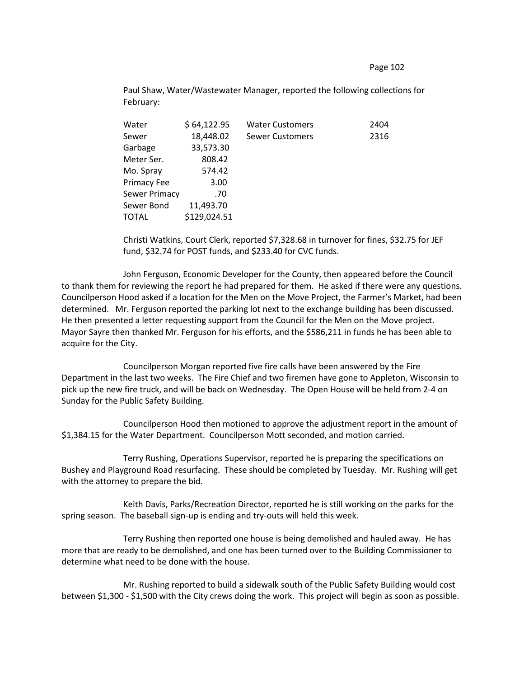Page 102

Paul Shaw, Water/Wastewater Manager, reported the following collections for February:

| \$64,122.95  | <b>Water Customers</b> | 2404 |
|--------------|------------------------|------|
| 18,448.02    | <b>Sewer Customers</b> | 2316 |
| 33,573.30    |                        |      |
| 808.42       |                        |      |
| 574.42       |                        |      |
| 3.00         |                        |      |
| .70          |                        |      |
| 11,493.70    |                        |      |
| \$129,024.51 |                        |      |
|              |                        |      |

Christi Watkins, Court Clerk, reported \$7,328.68 in turnover for fines, \$32.75 for JEF fund, \$32.74 for POST funds, and \$233.40 for CVC funds.

John Ferguson, Economic Developer for the County, then appeared before the Council to thank them for reviewing the report he had prepared for them. He asked if there were any questions. Councilperson Hood asked if a location for the Men on the Move Project, the Farmer's Market, had been determined. Mr. Ferguson reported the parking lot next to the exchange building has been discussed. He then presented a letter requesting support from the Council for the Men on the Move project. Mayor Sayre then thanked Mr. Ferguson for his efforts, and the \$586,211 in funds he has been able to acquire for the City.

Councilperson Morgan reported five fire calls have been answered by the Fire Department in the last two weeks. The Fire Chief and two firemen have gone to Appleton, Wisconsin to pick up the new fire truck, and will be back on Wednesday. The Open House will be held from 2-4 on Sunday for the Public Safety Building.

Councilperson Hood then motioned to approve the adjustment report in the amount of \$1,384.15 for the Water Department. Councilperson Mott seconded, and motion carried.

Terry Rushing, Operations Supervisor, reported he is preparing the specifications on Bushey and Playground Road resurfacing. These should be completed by Tuesday. Mr. Rushing will get with the attorney to prepare the bid.

Keith Davis, Parks/Recreation Director, reported he is still working on the parks for the spring season. The baseball sign-up is ending and try-outs will held this week.

Terry Rushing then reported one house is being demolished and hauled away. He has more that are ready to be demolished, and one has been turned over to the Building Commissioner to determine what need to be done with the house.

Mr. Rushing reported to build a sidewalk south of the Public Safety Building would cost between \$1,300 - \$1,500 with the City crews doing the work. This project will begin as soon as possible.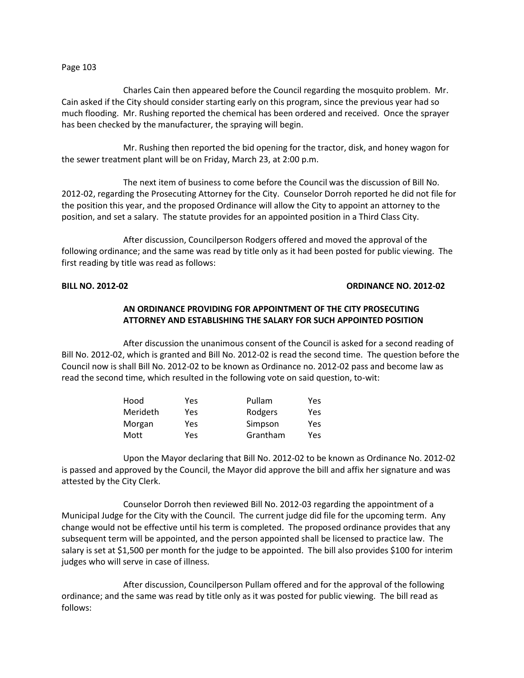#### Page 103

Charles Cain then appeared before the Council regarding the mosquito problem. Mr. Cain asked if the City should consider starting early on this program, since the previous year had so much flooding. Mr. Rushing reported the chemical has been ordered and received. Once the sprayer has been checked by the manufacturer, the spraying will begin.

Mr. Rushing then reported the bid opening for the tractor, disk, and honey wagon for the sewer treatment plant will be on Friday, March 23, at 2:00 p.m.

The next item of business to come before the Council was the discussion of Bill No. 2012-02, regarding the Prosecuting Attorney for the City. Counselor Dorroh reported he did not file for the position this year, and the proposed Ordinance will allow the City to appoint an attorney to the position, and set a salary. The statute provides for an appointed position in a Third Class City.

After discussion, Councilperson Rodgers offered and moved the approval of the following ordinance; and the same was read by title only as it had been posted for public viewing. The first reading by title was read as follows:

### **BILL NO. 2012-02 ORDINANCE NO. 2012-02**

# **AN ORDINANCE PROVIDING FOR APPOINTMENT OF THE CITY PROSECUTING ATTORNEY AND ESTABLISHING THE SALARY FOR SUCH APPOINTED POSITION**

After discussion the unanimous consent of the Council is asked for a second reading of Bill No. 2012-02, which is granted and Bill No. 2012-02 is read the second time. The question before the Council now is shall Bill No. 2012-02 to be known as Ordinance no. 2012-02 pass and become law as read the second time, which resulted in the following vote on said question, to-wit:

| Hood     | Yes | Pullam   | Yes |
|----------|-----|----------|-----|
| Merideth | Yes | Rodgers  | Yes |
| Morgan   | Yes | Simpson  | Yes |
| Mott     | Yes | Grantham | Yes |

Upon the Mayor declaring that Bill No. 2012-02 to be known as Ordinance No. 2012-02 is passed and approved by the Council, the Mayor did approve the bill and affix her signature and was attested by the City Clerk.

Counselor Dorroh then reviewed Bill No. 2012-03 regarding the appointment of a Municipal Judge for the City with the Council. The current judge did file for the upcoming term. Any change would not be effective until his term is completed. The proposed ordinance provides that any subsequent term will be appointed, and the person appointed shall be licensed to practice law. The salary is set at \$1,500 per month for the judge to be appointed. The bill also provides \$100 for interim judges who will serve in case of illness.

After discussion, Councilperson Pullam offered and for the approval of the following ordinance; and the same was read by title only as it was posted for public viewing. The bill read as follows: